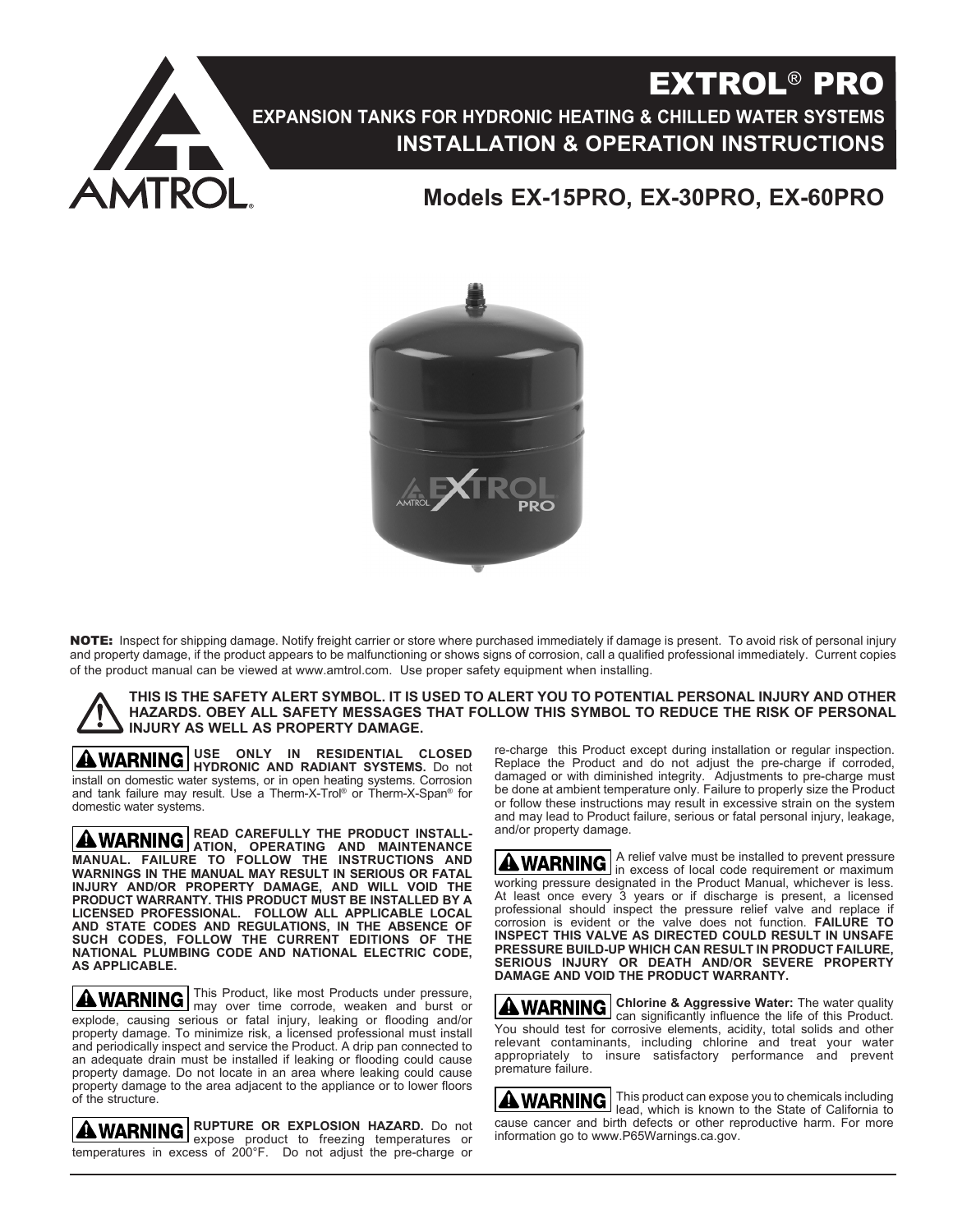

# EXTROL® PRO **EXPANSION TANKS FOR HYDRONIC HEATING & CHILLED WATER SYSTEMS INSTALLATION & OPERATION INSTRUCTIONS**

# **Models EX-15PRO, EX-30PRO, EX-60PRO**



NOTE: Inspect for shipping damage. Notify freight carrier or store where purchased immediately if damage is present. To avoid risk of personal injury and property damage, if the product appears to be malfunctioning or shows signs of corrosion, call a qualified professional immediately. Current copies of the product manual can be viewed at www.amtrol.com. Use proper safety equipment when installing.

**THIS IS THE SAFETY ALERT SYMBOL. IT IS USED TO ALERT YOU TO POTENTIAL PERSONAL INJURY AND OTHER HAZARDS. OBEY ALL SAFETY MESSAGES THAT FOLLOW THIS SYMBOL TO REDUCE THE RISK OF PERSONAL INJURY AS WELL AS PROPERTY DAMAGE.**

**USE ONLY IN RESIDENTIAL CLOSED HYDRONIC AND RADIANT SYSTEMS.** Do not install on domestic water systems, or in open heating systems. Corrosion and tank failure may result. Use a Therm-X-Trol® or Therm-X-Span® for domestic water systems.

**READ CAREFULLY THE PRODUCT INSTALL-ATION, OPERATING AND MAINTENANCE MANUAL. FAILURE TO FOLLOW THE INSTRUCTIONS AND WARNINGS IN THE MANUAL MAY RESULT IN SERIOUS OR FATAL INJURY AND/OR PROPERTY DAMAGE, AND WILL VOID THE PRODUCT WARRANTY. THIS PRODUCT MUST BE INSTALLED BY A LICENSED PROFESSIONAL. FOLLOW ALL APPLICABLE LOCAL AND STATE CODES AND REGULATIONS, IN THE ABSENCE OF SUCH CODES, FOLLOW THE CURRENT EDITIONS OF THE NATIONAL PLUMBING CODE AND NATIONAL ELECTRIC CODE, AS APPLICABLE.**

This Product, like most Products under pressure, may over time corrode, weaken and burst or explode, causing serious or fatal injury, leaking or flooding and/or property damage. To minimize risk, a licensed professional must install and periodically inspect and service the Product. A drip pan connected to an adequate drain must be installed if leaking or flooding could cause property damage. Do not locate in an area where leaking could cause property damage to the area adjacent to the appliance or to lower floors of the structure.

**RUPTURE OR EXPLOSION HAZARD.** Do not expose product to freezing temperatures or temperatures in excess of 200°F. Do not adjust the pre-charge or

re-charge this Product except during installation or regular inspection. Replace the Product and do not adjust the pre-charge if corroded, damaged or with diminished integrity. Adjustments to pre-charge must be done at ambient temperature only. Failure to properly size the Product or follow these instructions may result in excessive strain on the system and may lead to Product failure, serious or fatal personal injury, leakage, and/or property damage.

A relief valve must be installed to prevent pressure in excess of local code requirement or maximum working pressure designated in the Product Manual, whichever is less. At least once every 3 years or if discharge is present, a licensed professional should inspect the pressure relief valve and replace if corrosion is evident or the valve does not function. **FAILURE TO INSPECT THIS VALVE AS DIRECTED COULD RESULT IN UNSAFE PRESSURE BUILD-UP WHICH CAN RESULT IN PRODUCT FAILURE, SERIOUS INJURY OR DEATH AND/OR SEVERE PROPERTY DAMAGE AND VOID THE PRODUCT WARRANTY.**

**Chlorine & Aggressive Water:** The water quality can significantly influence the life of this Product. You should test for corrosive elements, acidity, total solids and other relevant contaminants, including chlorine and treat your water appropriately to insure satisfactory performance and prevent premature failure.

This product can expose you to chemicals including lead, which is known to the State of California to cause cancer and birth defects or other reproductive harm. For more information go to www.P65Warnings.ca.gov.